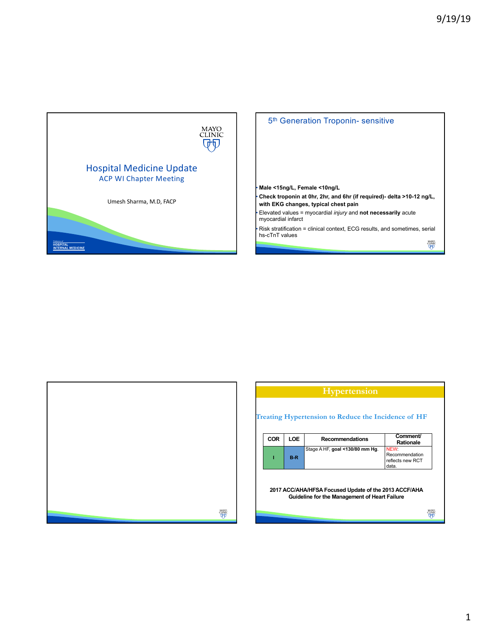

5<sup>th</sup> Generation Troponin- sensitive

## • **Male <15ng/L, Female <10ng/L**

• **Check troponin at 0hr, 2hr, and 6hr (if required)- delta >10-12 ng/L, with EKG changes, typical chest pain**

• Elevated values = myocardial *injury* and **not necessarily** acute myocardial infarct

• Risk stratification = clinical context, ECG results, and sometimes, serial hs-cTnT values

 $\begin{array}{c} \text{MAYO} \\ \text{CLINIC} \\ \hline \text{U}\text{-}\text{U} \end{array}$ 



|            |       | <b>Hypertension</b>                                                                                    |                                                     |
|------------|-------|--------------------------------------------------------------------------------------------------------|-----------------------------------------------------|
|            |       | <b>Treating Hypertension to Reduce the Incidence of HF</b>                                             |                                                     |
| <b>COR</b> | LOE   | <b>Recommendations</b>                                                                                 | Comment/<br><b>Rationale</b>                        |
|            | $B-R$ | Stage A HF, goal <130/80 mm Hg.                                                                        | NEW.<br>Recommendation<br>reflects new RCT<br>data. |
|            |       | 2017 ACC/AHA/HFSA Focused Update of the 2013 ACCF/AHA<br>Guideline for the Management of Heart Failure |                                                     |
|            |       |                                                                                                        |                                                     |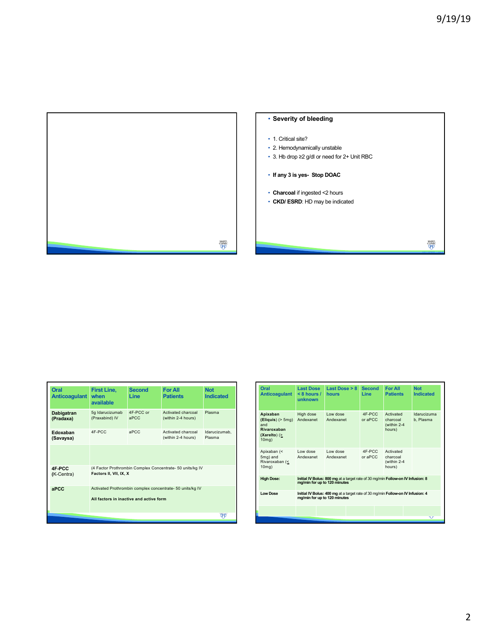

| Oral<br><b>Anticoagulant</b>                                                                                | <b>First Line,</b><br>when<br>available                                                              | <b>Second</b><br><b>Line</b> | <b>For All</b><br><b>Patients</b>        | <b>Not</b><br><b>Indicated</b> |
|-------------------------------------------------------------------------------------------------------------|------------------------------------------------------------------------------------------------------|------------------------------|------------------------------------------|--------------------------------|
| Dabigatran<br>(Pradaxa)                                                                                     | 5g Idarucizumab<br>(Praxabind) IV                                                                    | 4F-PCC or<br>aPCC            | Activated charcoal<br>(within 2-4 hours) | Plasma                         |
| Edoxaban<br>(Savaysa)                                                                                       | 4F-PCC                                                                                               | aPCC                         | Activated charcoal<br>(within 2-4 hours) | Idarucizumab,<br>Plasma        |
|                                                                                                             |                                                                                                      |                              |                                          |                                |
| (4 Factor Prothrombin Complex Concentrate- 50 units/kg IV<br>4F-PCC<br>Factors II, VII, IX, X<br>(K-Centra) |                                                                                                      |                              |                                          |                                |
| aPCC                                                                                                        | Activated Prothrombin complex concentrate- 50 units/kg IV<br>All factors in inactive and active form |                              |                                          |                                |
|                                                                                                             |                                                                                                      |                              |                                          | Φ€                             |

| Oral<br><b>Anticoagulant</b>                                                                | <b>Last Dose</b><br>$< 8$ hours /<br>unknown                                                                    | Last Dose $> 8$<br>hours | <b>Second</b><br><b>Line</b> | <b>For All</b><br><b>Patients</b>              | <b>Not</b><br><b>Indicated</b> |  |
|---------------------------------------------------------------------------------------------|-----------------------------------------------------------------------------------------------------------------|--------------------------|------------------------------|------------------------------------------------|--------------------------------|--|
| Apixaban<br>$(Eliquis)$ ( $> 5mg$ )<br>and<br>Rivaroxaban<br>(Xarelto) $( \geq$<br>$10mg$ ) | High dose<br>Andexanet                                                                                          | Low dose<br>Andexanet    | 4F-PCC<br>or aPCC            | Activated<br>charcoal<br>(within 2-4<br>hours) | Idarucizuma<br>b. Plasma       |  |
| Apixaban (<<br>5mg) and<br>Rivaroxaban (<<br>$10mg$ )                                       | Low dose<br>Andexanet                                                                                           | Low dose<br>Andexanet    | 4F-PCC<br>or aPCC            | Activated<br>charcoal<br>(within 2-4<br>hours) |                                |  |
| <b>High Dose:</b>                                                                           | Initial IV Bolus: 800 mg at a target rate of 30 mg/min Follow-on IV Infusion: 8<br>mg/min for up to 120 minutes |                          |                              |                                                |                                |  |
| <b>Low Dose</b>                                                                             | Initial IV Bolus: 400 mg at a target rate of 30 mg/min Follow-on IV Infusion: 4<br>mg/min for up to 120 minutes |                          |                              |                                                |                                |  |
|                                                                                             |                                                                                                                 |                          |                              |                                                | ۳P                             |  |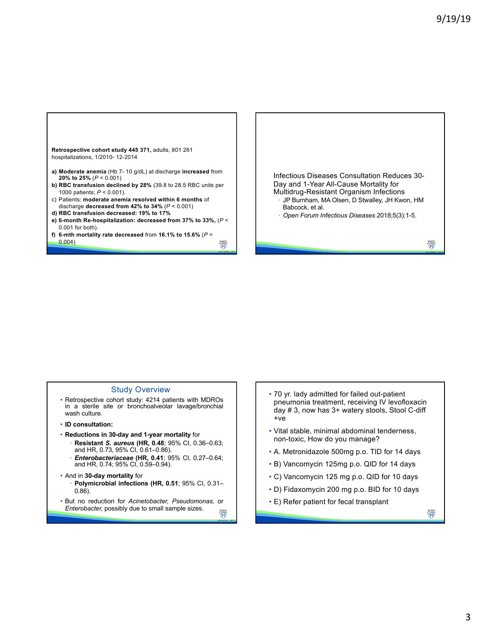

## Study Overview

- Retrospective cohort study: 4214 patients with MDROs in a sterile site or bronchoalveolar lavage/bronchial wash culture.
- **ID consultation:**
- **Reductions in 30-day and 1-year mortality** for
	- **Resistant** *S. aureus* **(HR, 0.48**; 95% CI, 0.36–0.63; and HR, 0.73, 95% CI, 0.61–0.86).
	- *Enterobacteriaceae* **(HR, 0.41**; 95% CI, 0.27–0.64; and HR, 0.74; 95% CI, 0.59–0.94).
- And in **30-day mortality** for • **Polymicrobial infections (HR, 0.51**; 95% CI, 0.31– 0.86).
- But no reduction for *Acinetobacter, Pseudomonas,* or *Enterobacter,* possibly due to small sample sizes. MAYO<br>CLINIC<br>(<del>D</del>I)
- 70 yr. lady admitted for failed out-patient pneumonia treatment, receiving IV levofloxacin day # 3, now has 3+ watery stools, Stool C-diff +ve
- Vital stable, minimal abdominal tenderness, non-toxic, How do you manage?
- A. Metronidazole 500mg p.o. TID for 14 days
- B) Vancomycin 125mg p.o. QID for 14 days
- C) Vancomycin 125 mg p.o. QID for 10 days
- D) Fidaxomycin 200 mg p.o. BID for 10 days
- E) Refer patient for fecal transplant

**MAYO**<br>GLINIC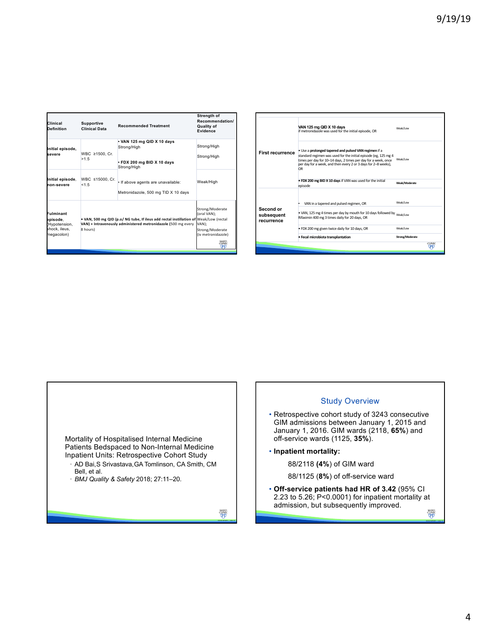| Clinical<br>Definition                                               | <b>Supportive</b><br><b>Clinical Data</b> | <b>Recommended Treatment</b>                                                                                                                           | Strength of<br>Recommendation/<br><b>Quality of</b><br>Evidence                                           |  |
|----------------------------------------------------------------------|-------------------------------------------|--------------------------------------------------------------------------------------------------------------------------------------------------------|-----------------------------------------------------------------------------------------------------------|--|
| Initial episode,<br>severe                                           | WBC ≥1500, Cr.<br>>1.5                    | • VAN 125 mg QID X 10 days<br>Strong/High<br>. FDX 200 mg BID X 10 days<br>Strong/High                                                                 | Strong/High<br>Strong/High                                                                                |  |
| Initial episode.<br>hon-severe                                       | WBC ≤15000, Cr.<br>< 1.5                  | · If above agents are unavailable:<br>Metronidazole, 500 mg TID X 10 days                                                                              | Weak/High                                                                                                 |  |
| Fulminant<br>episode.<br>Hypotension,<br>shock, ileus,<br>megacolon) | 8 hours)                                  | . VAN, 500 mg QID (p.o/ NG tube, If ileus add rectal instillation of Weak/Low (rectal<br>VAN) + Intravenously administered metronidazole (500 mg every | Strong/Moderate<br>(oral VAN):<br>VAN):<br>Strong/Moderate<br>(iv metronidazole)<br>MAYO<br>CLINIC<br>क्त |  |

|                                       | · Fecal microbiota transplantation                                                                                                                                                                                                                                 | Strong/Moderate | <b>CLINIC</b> |
|---------------------------------------|--------------------------------------------------------------------------------------------------------------------------------------------------------------------------------------------------------------------------------------------------------------------|-----------------|---------------|
|                                       | . FDX 200 mg given twice daily for 10 days, OR                                                                                                                                                                                                                     | Weak/Low        |               |
| Second or<br>subsequent<br>recurrence | . VAN, 125 mg 4 times per day by mouth for 10 days followed by Weak/Low<br>Rifaximin 400 mg 3 times daily for 20 days, OR                                                                                                                                          |                 |               |
|                                       | VAN in a tapered and pulsed regimen, OR                                                                                                                                                                                                                            | Weak/Low        |               |
|                                       | . FDX 200 mg BID X 10 days if VAN was used for the initial<br>episode                                                                                                                                                                                              | Weak/Moderate   |               |
| <b>First recurrence</b>               | . Use a prolonged tapered and pulsed VAN regimen if a<br>standard regimen was used for the initial episode (eg, 125 mg 4<br>times per day for 10-14 days, 2 times per day for a week, once<br>per day for a week, and then every 2 or 3 days for 2-8 weeks),<br>OR | Weak/Low        |               |
|                                       | VAN 125 mg QID X 10 days<br>if metronidazole was used for the initial episode, OR                                                                                                                                                                                  | Weak/Low        |               |

Mortality of Hospitalised Internal Medicine Patients Bedspaced to Non-Internal Medicine Inpatient Units: Retrospective Cohort Study

• AD Bai,S Srivastava,GA Tomlinson, CA Smith, CM Bell, et al.

• *BMJ Quality & Safety* 2018; 27:11–20.

 $\begin{array}{c} \text{MAVO} \\ \text{CLINC} \\ \overline{\text{QFD}} \end{array}$ 



• **Off-service patients had HR of 3.42** (95% CI 2.23 to 5.26; P<0.0001) for inpatient mortality at admission, but subsequently improved.

 $\begin{array}{c} \text{MAVO} \\ \text{CLINIC} \\ \hline \text{QFT} \end{array}$